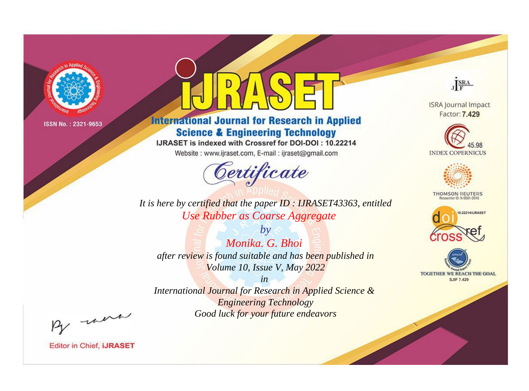

# **International Journal for Research in Applied Science & Engineering Technology**

IJRASET is indexed with Crossref for DOI-DOI: 10.22214

Website: www.ijraset.com, E-mail: ijraset@gmail.com



JERA

**ISRA Journal Impact** Factor: 7.429





**THOMSON REUTERS** 



TOGETHER WE REACH THE GOAL **SJIF 7.429** 

*It is here by certified that the paper ID : IJRASET43363, entitled Use Rubber as Coarse Aggregate*

*by Monika. G. Bhoi after review is found suitable and has been published in Volume 10, Issue V, May 2022*

*in* 

*International Journal for Research in Applied Science & Engineering Technology Good luck for your future endeavors*

By morn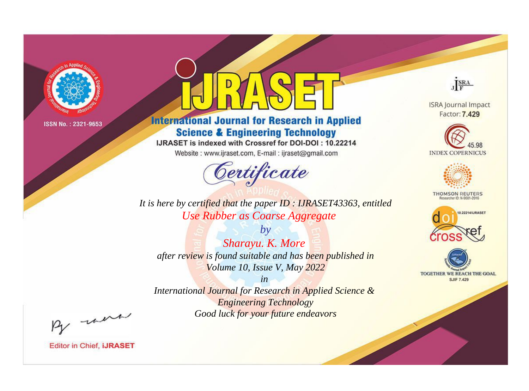

# **International Journal for Research in Applied Science & Engineering Technology**

IJRASET is indexed with Crossref for DOI-DOI: 10.22214

Website: www.ijraset.com, E-mail: ijraset@gmail.com



JERA

**ISRA Journal Impact** Factor: 7.429





**THOMSON REUTERS** 



TOGETHER WE REACH THE GOAL **SJIF 7.429** 

*It is here by certified that the paper ID : IJRASET43363, entitled Use Rubber as Coarse Aggregate*

*by Sharayu. K. More after review is found suitable and has been published in Volume 10, Issue V, May 2022*

*in* 

*International Journal for Research in Applied Science & Engineering Technology Good luck for your future endeavors*

By morn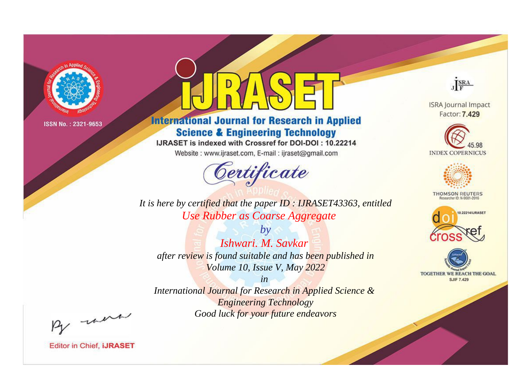

# **International Journal for Research in Applied Science & Engineering Technology**

IJRASET is indexed with Crossref for DOI-DOI: 10.22214

Website: www.ijraset.com, E-mail: ijraset@gmail.com



JERA

**ISRA Journal Impact** Factor: 7.429





**THOMSON REUTERS** 



TOGETHER WE REACH THE GOAL **SJIF 7.429** 

*It is here by certified that the paper ID : IJRASET43363, entitled Use Rubber as Coarse Aggregate*

*by Ishwari. M. Savkar after review is found suitable and has been published in Volume 10, Issue V, May 2022*

*in* 

*International Journal for Research in Applied Science & Engineering Technology Good luck for your future endeavors*

By morn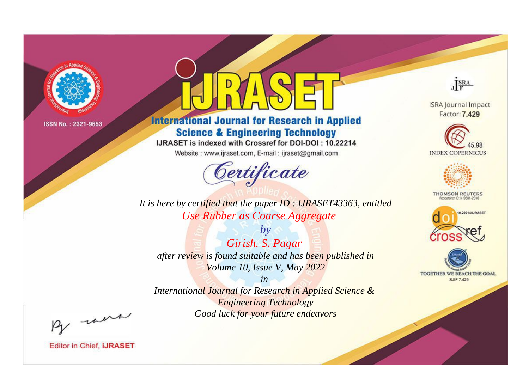

# **International Journal for Research in Applied Science & Engineering Technology**

IJRASET is indexed with Crossref for DOI-DOI: 10.22214

Website: www.ijraset.com, E-mail: ijraset@gmail.com



JERA **ISRA Journal Impact** 

Factor: 7.429





**THOMSON REUTERS** 



TOGETHER WE REACH THE GOAL **SJIF 7.429** 

*It is here by certified that the paper ID : IJRASET43363, entitled Use Rubber as Coarse Aggregate*

*by Girish. S. Pagar after review is found suitable and has been published in Volume 10, Issue V, May 2022*

*in* 

*International Journal for Research in Applied Science & Engineering Technology Good luck for your future endeavors*

By morn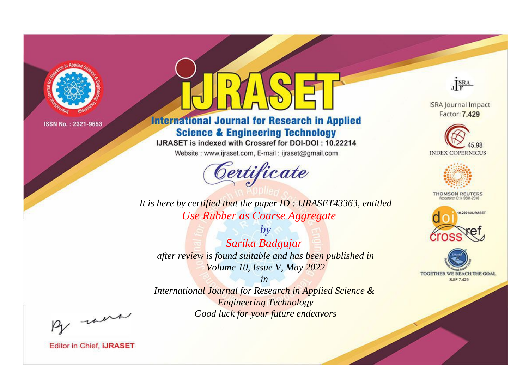

# **International Journal for Research in Applied Science & Engineering Technology**

IJRASET is indexed with Crossref for DOI-DOI: 10.22214

Website: www.ijraset.com, E-mail: ijraset@gmail.com



**ISRA Journal Impact** 

JERA

Factor: 7.429





**THOMSON REUTERS** 



TOGETHER WE REACH THE GOAL **SJIF 7.429** 

*It is here by certified that the paper ID : IJRASET43363, entitled Use Rubber as Coarse Aggregate*

*by Sarika Badgujar after review is found suitable and has been published in Volume 10, Issue V, May 2022*

*in* 

*International Journal for Research in Applied Science & Engineering Technology Good luck for your future endeavors*

By morn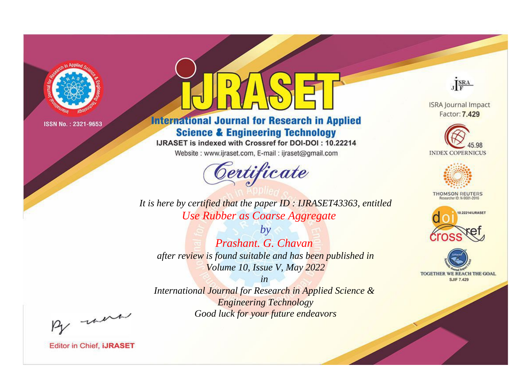

# **International Journal for Research in Applied Science & Engineering Technology**

IJRASET is indexed with Crossref for DOI-DOI: 10.22214

Website: www.ijraset.com, E-mail: ijraset@gmail.com



JERA

**ISRA Journal Impact** Factor: 7.429





**THOMSON REUTERS** 



TOGETHER WE REACH THE GOAL **SJIF 7.429** 

*It is here by certified that the paper ID : IJRASET43363, entitled Use Rubber as Coarse Aggregate*

*by Prashant. G. Chavan after review is found suitable and has been published in Volume 10, Issue V, May 2022*

*in* 

*International Journal for Research in Applied Science & Engineering Technology Good luck for your future endeavors*

By morn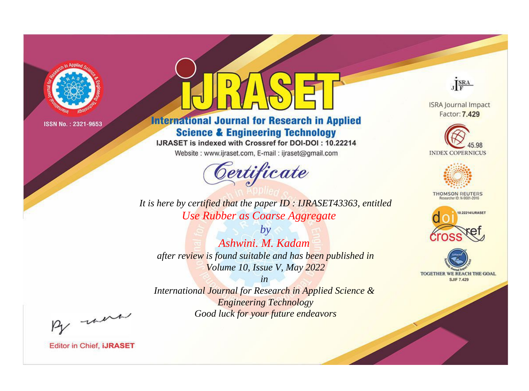

# **International Journal for Research in Applied Science & Engineering Technology**

IJRASET is indexed with Crossref for DOI-DOI: 10.22214

Website: www.ijraset.com, E-mail: ijraset@gmail.com



JERA

**ISRA Journal Impact** Factor: 7.429





**THOMSON REUTERS** 



TOGETHER WE REACH THE GOAL **SJIF 7.429** 

*It is here by certified that the paper ID : IJRASET43363, entitled Use Rubber as Coarse Aggregate*

*by Ashwini. M. Kadam after review is found suitable and has been published in Volume 10, Issue V, May 2022*

*in* 

*International Journal for Research in Applied Science & Engineering Technology Good luck for your future endeavors*

By morn